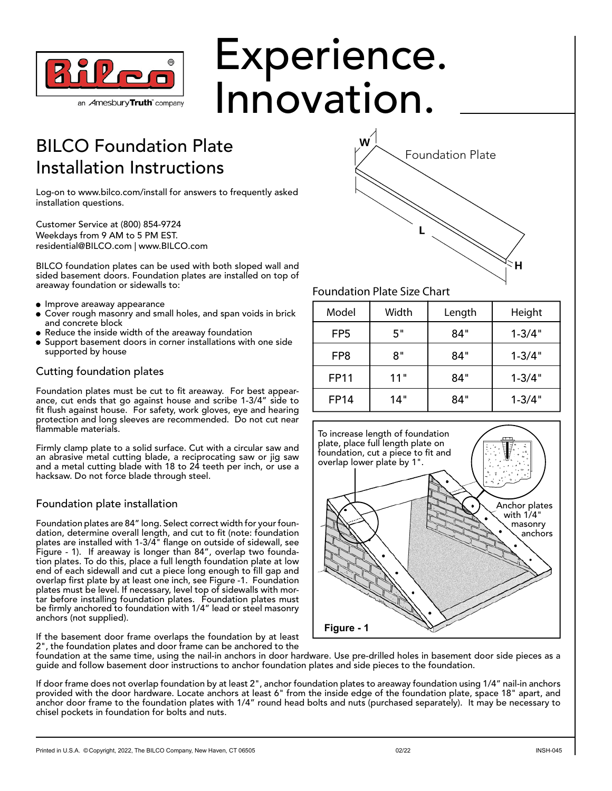

# Experience. Innovation.

W

### BILCO Foundation Plate Installation Instructions

Log-on to www.bilco.com/install for answers to frequently asked installation questions.

Customer Service at (800) 854-9724 Weekdays from 9 AM to 5 PM EST. residential@BILCO.com | www.BILCO.com

BILCO foundation plates can be used with both sloped wall and sided basement doors. Foundation plates are installed on top of areaway foundation or sidewalls to:

- **· Improve areaway appearance**
- Cover rough masonry and small holes, and span voids in brick and concrete block
- Reduce the inside width of the areaway foundation
- Support basement doors in corner installations with one side supported by house

#### Cutting foundation plates

Foundation plates must be cut to fit areaway. For best appearance, cut ends that go against house and scribe 1-3/4" side to fit flush against house. For safety, work gloves, eye and hearing protection and long sleeves are recommended. Do not cut near flammable materials.

Firmly clamp plate to a solid surface. Cut with a circular saw and an abrasive metal cutting blade, a reciprocating saw or jig saw and a metal cutting blade with 18 to 24 teeth per inch, or use a hacksaw. Do not force blade through steel.

#### Foundation plate installation

Foundation plates are 84" long. Select correct width for your foundation, determine overall length, and cut to fit (note: foundation plates are installed with 1-3/4" flange on outside of sidewall, see Figure - 1). If areaway is longer than 84", overlap two foundation plates. To do this, place a full length foundation plate at low end of each sidewall and cut a piece long enough to fill gap and overlap first plate by at least one inch, see Figure -1. Foundation plates must be level. If necessary, level top of sidewalls with mortar before installing foundation plates. Foundation plates must be firmly anchored to foundation with 1/4" lead or steel masonry anchors (not supplied).

If the basement door frame overlaps the foundation by at least 2", the foundation plates and door frame can be anchored to the

## Foundation Plate Size Chart

| Model           | Width | Length | Height     |
|-----------------|-------|--------|------------|
| FP <sub>5</sub> | 5"    | 84"    | $1 - 3/4"$ |
| FP8             | 8"    | 84"    | $1 - 3/4"$ |
| <b>FP11</b>     | 11"   | 84"    | $1 - 3/4"$ |
| <b>FP14</b>     | 14"   | 84"    | $1 - 3/4"$ |

Foundation Plate



foundation at the same time, using the nail-in anchors in door hardware. Use pre-drilled holes in basement door side pieces as a guide and follow basement door instructions to anchor foundation plates and side pieces to the foundation.

If door frame does not overlap foundation by at least 2", anchor foundation plates to areaway foundation using 1/4" nail-in anchors provided with the door hardware. Locate anchors at least 6" from the inside edge of the foundation plate, space 18" apart, and anchor door frame to the foundation plates with 1/4" round head bolts and nuts (purchased separately). It may be necessary to chisel pockets in foundation for bolts and nuts.